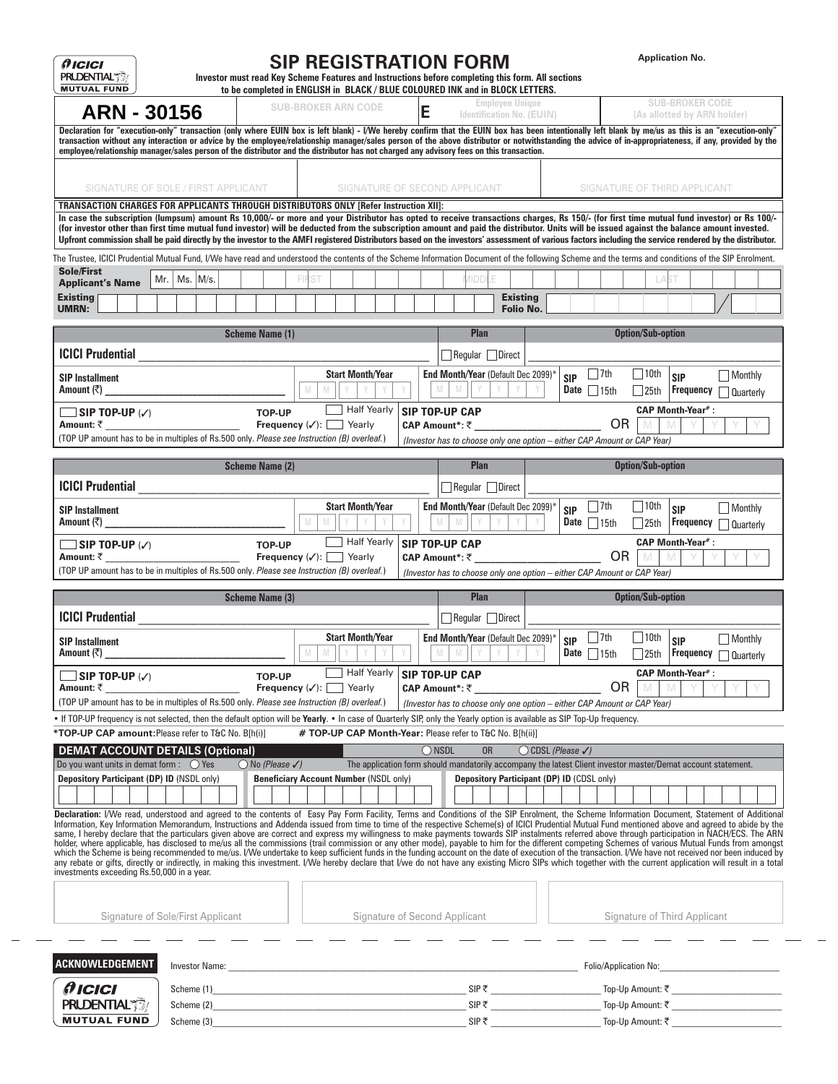| <b>Employee Unique</b><br><b>SUB-BROKER ARN CODE</b><br>E<br><b>ARN - 30156</b><br><b>Identification No. (EUIN)</b>                                                                                                                                                                                                                                                                                                                                                                                                                                                                                                                                                                                                                                                                                                                                                                                                                                                                                                                                                                                                                                                                                                                                                                                                                                                                                                                                    |                                                                                         |
|--------------------------------------------------------------------------------------------------------------------------------------------------------------------------------------------------------------------------------------------------------------------------------------------------------------------------------------------------------------------------------------------------------------------------------------------------------------------------------------------------------------------------------------------------------------------------------------------------------------------------------------------------------------------------------------------------------------------------------------------------------------------------------------------------------------------------------------------------------------------------------------------------------------------------------------------------------------------------------------------------------------------------------------------------------------------------------------------------------------------------------------------------------------------------------------------------------------------------------------------------------------------------------------------------------------------------------------------------------------------------------------------------------------------------------------------------------|-----------------------------------------------------------------------------------------|
|                                                                                                                                                                                                                                                                                                                                                                                                                                                                                                                                                                                                                                                                                                                                                                                                                                                                                                                                                                                                                                                                                                                                                                                                                                                                                                                                                                                                                                                        | <b>SUB-BROKER CODE</b><br>(As allotted by ARN holder)                                   |
| Declaration for "execution-only" transaction (only where EUIN box is left blank) - I/We hereby confirm that the EUIN box has been intentionally left blank by me/us as this is an "execution-only"<br>transaction without any interaction or advice by the employee/relationship manager/sales person of the above distributor or notwithstanding the advice of in-appropriateness, if any, provided by the<br>employee/relationship manager/sales person of the distributor and the distributor has not charged any advisory fees on this transaction.                                                                                                                                                                                                                                                                                                                                                                                                                                                                                                                                                                                                                                                                                                                                                                                                                                                                                                |                                                                                         |
| SIGNATURE OF SECOND APPLICANT<br>SIGNATURE OF SOLE / FIRST APPLICANT                                                                                                                                                                                                                                                                                                                                                                                                                                                                                                                                                                                                                                                                                                                                                                                                                                                                                                                                                                                                                                                                                                                                                                                                                                                                                                                                                                                   | SIGNATURE OF THIRD APPLICANT                                                            |
| TRANSACTION CHARGES FOR APPLICANTS THROUGH DISTRIBUTORS ONLY [Refer Instruction XII]:<br>In case the subscription (lumpsum) amount Rs 10,000/- or more and your Distributor has opted to receive transactions charges, Rs 150/- (for first time mutual fund investor) or Rs 100/-<br>(for investor other than first time mutual fund investor) will be deducted from the subscription amount and paid the distributor. Units will be issued against the balance amount invested.<br>Upfront commission shall be paid directly by the investor to the AMFI registered Distributors based on the investors' assessment of various factors including the service rendered by the distributor.                                                                                                                                                                                                                                                                                                                                                                                                                                                                                                                                                                                                                                                                                                                                                             |                                                                                         |
| The Trustee, ICICI Prudential Mutual Fund, I/We have read and understood the contents of the Scheme Information Document of the following Scheme and the terms and conditions of the SIP Enrolment.<br><b>Sole/First</b><br><b>FIRST</b><br><b>IIDD</b><br>$Ms.$ M/s.<br>Mr.  <br><b>Applicant's Name</b><br><b>Existing</b><br>Existing                                                                                                                                                                                                                                                                                                                                                                                                                                                                                                                                                                                                                                                                                                                                                                                                                                                                                                                                                                                                                                                                                                               | LAST                                                                                    |
| <b>Folio No.</b><br><b>UMRN:</b>                                                                                                                                                                                                                                                                                                                                                                                                                                                                                                                                                                                                                                                                                                                                                                                                                                                                                                                                                                                                                                                                                                                                                                                                                                                                                                                                                                                                                       |                                                                                         |
| Plan<br><b>Scheme Name (1)</b>                                                                                                                                                                                                                                                                                                                                                                                                                                                                                                                                                                                                                                                                                                                                                                                                                                                                                                                                                                                                                                                                                                                                                                                                                                                                                                                                                                                                                         | <b>Option/Sub-option</b>                                                                |
| <b>ICICI Prudential</b><br>Regular Direct<br>$\Box$ 7th<br><b>Start Month/Year</b><br><b>End Month/Year (Default Dec 2099)</b><br><b>SIP</b><br><b>SIP Installment</b>                                                                                                                                                                                                                                                                                                                                                                                                                                                                                                                                                                                                                                                                                                                                                                                                                                                                                                                                                                                                                                                                                                                                                                                                                                                                                 | 10th<br>  Monthly<br><b>SIP</b>                                                         |
| Amount (₹)<br>$\mathbb N$<br>M<br>Date $\Box$ 15th<br>M<br>M<br><u> 1980 - Jan Barbara Barbara, manazarta </u><br>Half Yearly<br><b>SIP TOP-UP CAP</b><br>$\Box$ SIP TOP-UP $\vee$<br><b>TOP-UP</b>                                                                                                                                                                                                                                                                                                                                                                                                                                                                                                                                                                                                                                                                                                                                                                                                                                                                                                                                                                                                                                                                                                                                                                                                                                                    | Frequency<br>$\Box$ 25th<br>Quarterly<br><b>CAP Month-Year#:</b>                        |
| <b>OR</b><br>Amount: ₹<br><b>Frequency</b> $(\checkmark)$ : Yearly<br>CAP Amount*: ₹<br>(TOP UP amount has to be in multiples of Rs.500 only. Please see Instruction (B) overleaf.)<br>(Investor has to choose only one option - either CAP Amount or CAP Year)                                                                                                                                                                                                                                                                                                                                                                                                                                                                                                                                                                                                                                                                                                                                                                                                                                                                                                                                                                                                                                                                                                                                                                                        |                                                                                         |
| <b>Scheme Name (2)</b><br><b>Plan</b>                                                                                                                                                                                                                                                                                                                                                                                                                                                                                                                                                                                                                                                                                                                                                                                                                                                                                                                                                                                                                                                                                                                                                                                                                                                                                                                                                                                                                  | <b>Option/Sub-option</b>                                                                |
| <b>ICICI Prudential</b><br>Regular Direct                                                                                                                                                                                                                                                                                                                                                                                                                                                                                                                                                                                                                                                                                                                                                                                                                                                                                                                                                                                                                                                                                                                                                                                                                                                                                                                                                                                                              |                                                                                         |
| End Month/Year (Default Dec 2099)*<br>  $ 7th$<br><b>Start Month/Year</b><br><b>SIP</b><br><b>SIP Installment</b><br>M<br>$\mathbb N$<br>Amount (₹)<br>Date $\Box$ 15th                                                                                                                                                                                                                                                                                                                                                                                                                                                                                                                                                                                                                                                                                                                                                                                                                                                                                                                                                                                                                                                                                                                                                                                                                                                                                | $\vert$   10th<br>Monthly<br><b>SIP</b><br>Frequency<br>$\Box$ 25th<br><b>Quarterly</b> |
| Half Yearly<br><b>SIP TOP-UP CAP</b><br>$\Box$ SIP TOP-UP $\vee$<br><b>TOP-UP</b><br><b>OR</b><br>Amount: ₹<br><b>Frequency</b> $(\checkmark)$ : Yearly<br>CAP Amount*: ₹<br>(TOP UP amount has to be in multiples of Rs.500 only. Please see Instruction (B) overleaf.)<br>(Investor has to choose only one option - either CAP Amount or CAP Year)                                                                                                                                                                                                                                                                                                                                                                                                                                                                                                                                                                                                                                                                                                                                                                                                                                                                                                                                                                                                                                                                                                   | <b>CAP Month-Year#:</b>                                                                 |
| <b>Plan</b><br><b>Scheme Name (3)</b>                                                                                                                                                                                                                                                                                                                                                                                                                                                                                                                                                                                                                                                                                                                                                                                                                                                                                                                                                                                                                                                                                                                                                                                                                                                                                                                                                                                                                  | <b>Option/Sub-option</b>                                                                |
|                                                                                                                                                                                                                                                                                                                                                                                                                                                                                                                                                                                                                                                                                                                                                                                                                                                                                                                                                                                                                                                                                                                                                                                                                                                                                                                                                                                                                                                        |                                                                                         |
| Regular Direct                                                                                                                                                                                                                                                                                                                                                                                                                                                                                                                                                                                                                                                                                                                                                                                                                                                                                                                                                                                                                                                                                                                                                                                                                                                                                                                                                                                                                                         |                                                                                         |
| <b>ICICI Prudential</b><br><b>Start Month/Year</b><br><b>End Month/Year (Default Dec 2099)*</b><br>    7th<br><b>SIP</b><br><b>SIP Installment</b><br>M<br>M<br>Amount (₹)<br>M<br>M<br>Y<br>Date $\Box$ 15th                                                                                                                                                                                                                                                                                                                                                                                                                                                                                                                                                                                                                                                                                                                                                                                                                                                                                                                                                                                                                                                                                                                                                                                                                                          | 10th<br>  Monthly<br><b>SIP</b><br>Frequency auarterly<br>$\Box$ 25th                   |
| <b>Half Yearly</b><br><b>SIP TOP-UP CAP</b><br>$\Box$ SIP TOP-UP $\vee$<br><b>TOP-UP</b><br><b>OR</b><br><b>Frequency</b> $(\checkmark)$ : Yearly<br>Amount: ₹<br>CAP Amount*: ₹                                                                                                                                                                                                                                                                                                                                                                                                                                                                                                                                                                                                                                                                                                                                                                                                                                                                                                                                                                                                                                                                                                                                                                                                                                                                       | <b>CAP Month-Year#:</b>                                                                 |
| (TOP UP amount has to be in multiples of Rs.500 only. Please see Instruction (B) overleaf.)<br>(Investor has to choose only one option - either CAP Amount or CAP Year)                                                                                                                                                                                                                                                                                                                                                                                                                                                                                                                                                                                                                                                                                                                                                                                                                                                                                                                                                                                                                                                                                                                                                                                                                                                                                |                                                                                         |
| # TOP-UP CAP Month-Year: Please refer to T&C No. B[h(ii)]                                                                                                                                                                                                                                                                                                                                                                                                                                                                                                                                                                                                                                                                                                                                                                                                                                                                                                                                                                                                                                                                                                                                                                                                                                                                                                                                                                                              |                                                                                         |
| • If TOP-UP frequency is not selected, then the default option will be Yearly. • In case of Quarterly SIP, only the Yearly option is available as SIP Top-Up frequency.<br>*TOP-UP CAP amount: Please refer to T&C No. B[h(i)]<br>$\bigcirc$ NSDL<br><b>OR</b><br><b>DEMAT ACCOUNT DETAILS (Optional)</b><br>$\bigcirc$ CDSL (Please $\checkmark$ )                                                                                                                                                                                                                                                                                                                                                                                                                                                                                                                                                                                                                                                                                                                                                                                                                                                                                                                                                                                                                                                                                                    |                                                                                         |
| $\bigcirc$ No (Please $\checkmark$ )<br>The application form should mandatorily accompany the latest Client investor master/Demat account statement.                                                                                                                                                                                                                                                                                                                                                                                                                                                                                                                                                                                                                                                                                                                                                                                                                                                                                                                                                                                                                                                                                                                                                                                                                                                                                                   |                                                                                         |
| Depository Participant (DP) ID (CDSL only)<br><b>Beneficiary Account Number (NSDL only)</b>                                                                                                                                                                                                                                                                                                                                                                                                                                                                                                                                                                                                                                                                                                                                                                                                                                                                                                                                                                                                                                                                                                                                                                                                                                                                                                                                                            |                                                                                         |
|                                                                                                                                                                                                                                                                                                                                                                                                                                                                                                                                                                                                                                                                                                                                                                                                                                                                                                                                                                                                                                                                                                                                                                                                                                                                                                                                                                                                                                                        |                                                                                         |
| Signature of Sole/First Applicant<br>Signature of Second Applicant                                                                                                                                                                                                                                                                                                                                                                                                                                                                                                                                                                                                                                                                                                                                                                                                                                                                                                                                                                                                                                                                                                                                                                                                                                                                                                                                                                                     | Signature of Third Applicant                                                            |
|                                                                                                                                                                                                                                                                                                                                                                                                                                                                                                                                                                                                                                                                                                                                                                                                                                                                                                                                                                                                                                                                                                                                                                                                                                                                                                                                                                                                                                                        |                                                                                         |
|                                                                                                                                                                                                                                                                                                                                                                                                                                                                                                                                                                                                                                                                                                                                                                                                                                                                                                                                                                                                                                                                                                                                                                                                                                                                                                                                                                                                                                                        |                                                                                         |
| Do you want units in demat form : $\bigcirc$ Yes<br>Depository Participant (DP) ID (NSDL only)<br>Declaration: I/We read, understood and agreed to the contents of Easy Pay Form Facility, Terms and Conditions of the SIP Enrolment, the Scheme Information Document, Statement of Additional<br>Information, Key Information Memorandum, Instructions and Addenda issued from time to time of the respective Scheme(s) of ICICI Prudential Mutual Fund mentioned above and agreed to abide by the<br>same, I hereby declare that the particulars given above are correct and express my willingness to make payments towards SIP instalments referred above through participation in NACH/ECS. The ARN<br>holder, where applicable, has disclosed to me/us all the commissions (trail commission or any other mode), payable to him for the different competing Schemes of various Mutual Funds from amongst<br>which the Scheme is being recommended to me/us. I/We undertake to keep sufficient funds in the funding account on the date of execution of the transaction. I/We have not received nor been induced by<br>any rebate or gifts, directly or indirectly, in making this investment. I/We hereby declare that I/we do not have any existing Micro SIPs which together with the current application will result in a total<br>investments exceeding Rs.50,000 in a year.<br>ACKNOWLEDGEMENT<br><i><b>AICICI</b></i><br><b>PRUDENTIAL</b> |                                                                                         |

 $\overline{\phantom{0}}$ 

 $\hspace{0.1mm}-\hspace{0.1mm}$